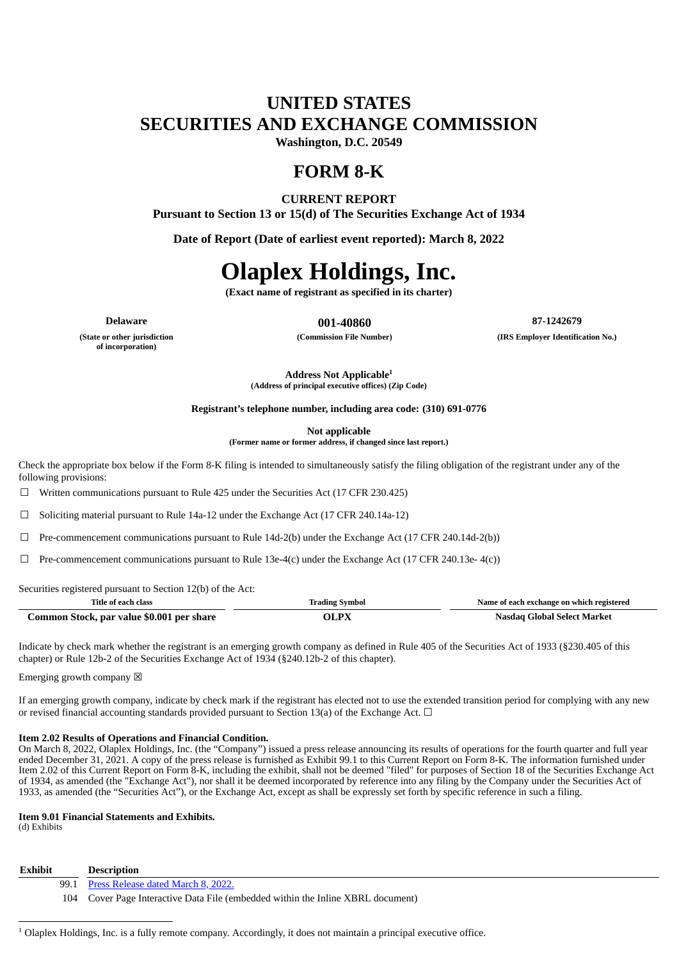# **UNITED STATES SECURITIES AND EXCHANGE COMMISSION**

**Washington, D.C. 20549**

# **FORM 8-K**

# **CURRENT REPORT**

**Pursuant to Section 13 or 15(d) of The Securities Exchange Act of 1934**

**Date of Report (Date of earliest event reported): March 8, 2022**

# **Olaplex Holdings, Inc.**

**(Exact name of registrant as specified in its charter)**

**(State or other jurisdiction**

**of incorporation)**

**Delaware 001-40860 87-1242679**

**(Commission File Number) (IRS Employer Identification No.)**

**Address Not Applicable 1**

**(Address of principal executive offices) (Zip Code)**

**Registrant's telephone number, including area code: (310) 691-0776**

**Not applicable**

**(Former name or former address, if changed since last report.)**

Check the appropriate box below if the Form 8-K filing is intended to simultaneously satisfy the filing obligation of the registrant under any of the following provisions:

☐ Written communications pursuant to Rule 425 under the Securities Act (17 CFR 230.425)

 $\Box$  Soliciting material pursuant to Rule 14a-12 under the Exchange Act (17 CFR 240.14a-12)

 $\Box$  Pre-commencement communications pursuant to Rule 14d-2(b) under the Exchange Act (17 CFR 240.14d-2(b))

 $\Box$  Pre-commencement communications pursuant to Rule 13e-4(c) under the Exchange Act (17 CFR 240.13e- 4(c))

Securities registered pursuant to Section 12(b) of the Act:

| <b>Trading Symbol</b><br>Title of each class |       | Name of each exchange on which registered |
|----------------------------------------------|-------|-------------------------------------------|
| Common Stock, par value \$0.001 per share    | OL PX | Nasdaq Global Select Market               |

Indicate by check mark whether the registrant is an emerging growth company as defined in Rule 405 of the Securities Act of 1933 (§230.405 of this chapter) or Rule 12b-2 of the Securities Exchange Act of 1934 (§240.12b-2 of this chapter).

Emerging growth company  $\boxtimes$ 

If an emerging growth company, indicate by check mark if the registrant has elected not to use the extended transition period for complying with any new or revised financial accounting standards provided pursuant to Section 13(a) of the Exchange Act.  $\Box$ 

**Item 2.02 Results of Operations and Financial Condition.**

On March 8, 2022, Olaplex Holdings, Inc. (the "Company") issued a press release announcing its results of operations for the fourth quarter and full year ended December 31, 2021. A copy of the press release is furnished as Exhibit 99.1 to this Current Report on Form 8-K. The information furnished under Item 2.02 of this Current Report on Form 8-K, including the exhibit, shall not be deemed "filed" for purposes of Section 18 of the Securities Exchange Act of 1934, as amended (the "Exchange Act"), nor shall it be deemed incorporated by reference into any filing by the Company under the Securities Act of 1933, as amended (the "Securities Act"), or the Exchange Act, except as shall be expressly set forth by specific reference in such a filing.

### **Item 9.01 Financial Statements and Exhibits.**

(d) Exhibits

#### **Exhibit Description**

- 99.1 Press [Release](#page-3-0) dated March 8, 2022.
- 104 Cover Page Interactive Data File (embedded within the Inline XBRL document)

 $1$  Olaplex Holdings, Inc. is a fully remote company. Accordingly, it does not maintain a principal executive office.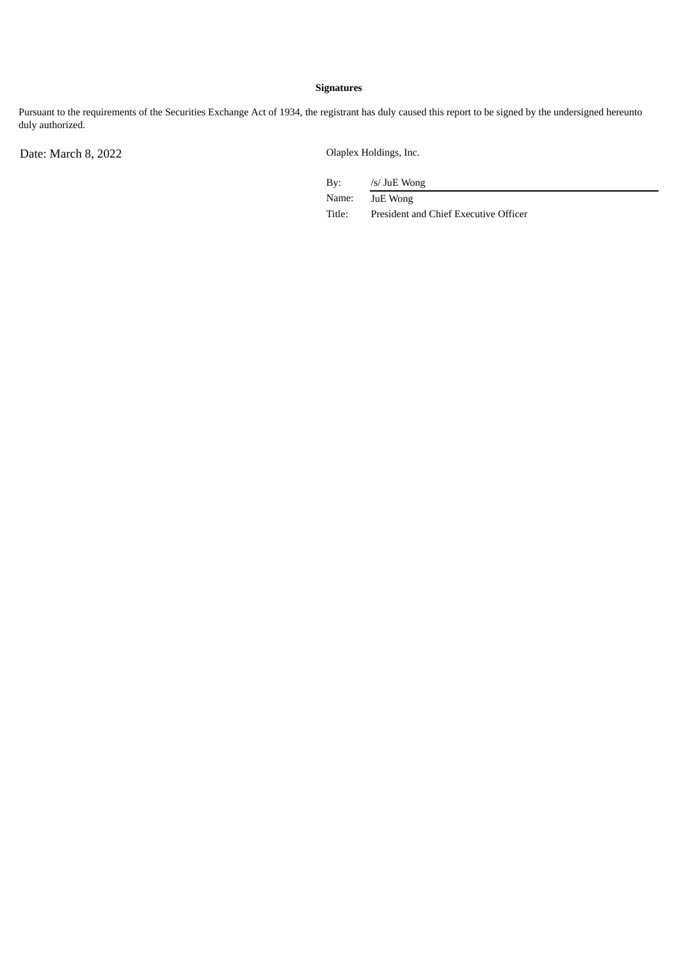# **Signatures**

Pursuant to the requirements of the Securities Exchange Act of 1934, the registrant has duly caused this report to be signed by the undersigned hereunto duly authorized.

Date: March 8, 2022 Olaplex Holdings, Inc.

By: /s/ JuE Wong

Name: JuE Wong

Title: President and Chief Executive Officer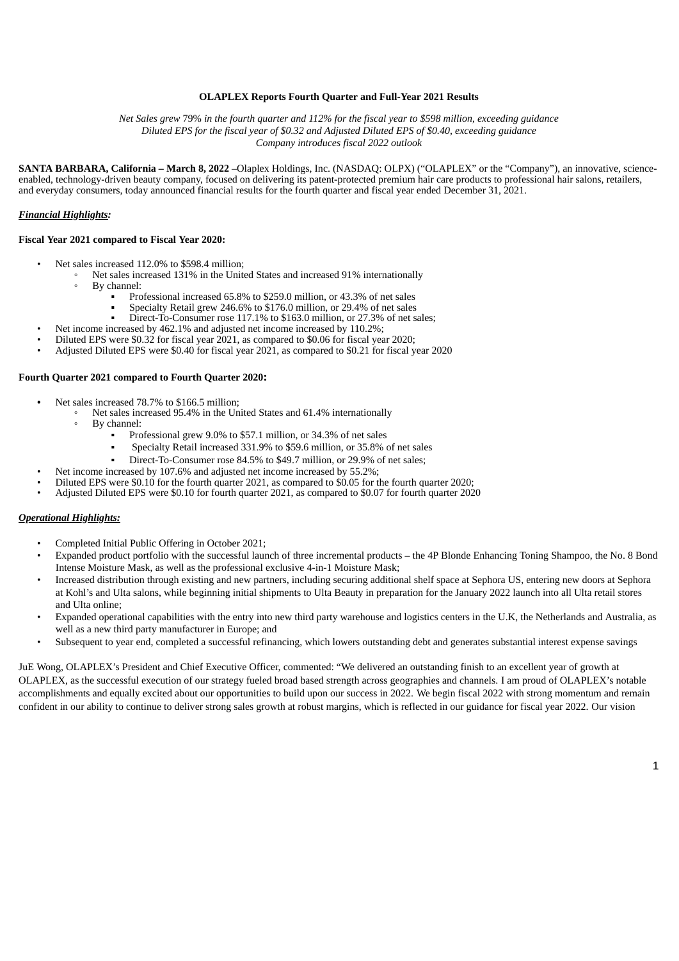#### **OLAPLEX Reports Fourth Quarter and Full-Year 2021 Results**

<span id="page-3-0"></span>Net Sales grew 79% in the fourth quarter and 112% for the fiscal year to \$598 million, exceeding guidance *Diluted EPS for the fiscal year of \$0.32 and Adjusted Diluted EPS of \$0.40, exceeding guidance Company introduces fiscal 2022 outlook*

**SANTA BARBARA, California – March 8, 2022** –Olaplex Holdings, Inc. (NASDAQ: OLPX) ("OLAPLEX" or the "Company"), an innovative, scienceenabled, technology-driven beauty company, focused on delivering its patent-protected premium hair care products to professional hair salons, retailers, and everyday consumers, today announced financial results for the fourth quarter and fiscal year ended December 31, 2021.

#### *Financial Highlights:*

#### **Fiscal Year 2021 compared to Fiscal Year 2020:**

- Net sales increased 112.0% to \$598.4 million;
	- Net sales increased 131% in the United States and increased 91% internationally
	- By channel:
		- Professional increased 65.8% to \$259.0 million, or 43.3% of net sales
		- Specialty Retail grew 246.6% to \$176.0 million, or 29.4% of net sales
	- Direct-To-Consumer rose 117.1% to \$163.0 million, or 27.3% of net sales;
	- Net income increased by 462.1% and adjusted net income increased by 110.2%;
	- Diluted EPS were \$0.32 for fiscal year 2021, as compared to \$0.06 for fiscal year 2020;
- Adjusted Diluted EPS were \$0.40 for fiscal year 2021, as compared to \$0.21 for fiscal year 2020

#### **Fourth Quarter 2021 compared to Fourth Quarter 2020:**

- **•** Net sales increased 78.7% to \$166.5 million;
	- Net sales increased 95.4% in the United States and 61.4% internationally
		- By channel:
			- Professional grew 9.0% to \$57.1 million, or 34.3% of net sales
			- Specialty Retail increased 331.9% to \$59.6 million, or 35.8% of net sales
			- Direct-To-Consumer rose 84.5% to \$49.7 million, or 29.9% of net sales:
	- Net income increased by 107.6% and adjusted net income increased by 55.2%;
- Diluted EPS were \$0.10 for the fourth quarter 2021, as compared to \$0.05 for the fourth quarter 2020;
- Adjusted Diluted EPS were \$0.10 for fourth quarter 2021, as compared to \$0.07 for fourth quarter 2020

#### *Operational Highlights:*

- Completed Initial Public Offering in October 2021;
- Expanded product portfolio with the successful launch of three incremental products the 4P Blonde Enhancing Toning Shampoo, the No. 8 Bond Intense Moisture Mask, as well as the professional exclusive 4-in-1 Moisture Mask;
- Increased distribution through existing and new partners, including securing additional shelf space at Sephora US, entering new doors at Sephora at Kohl's and Ulta salons, while beginning initial shipments to Ulta Beauty in preparation for the January 2022 launch into all Ulta retail stores and Ulta online;
- Expanded operational capabilities with the entry into new third party warehouse and logistics centers in the U.K, the Netherlands and Australia, as well as a new third party manufacturer in Europe; and
- Subsequent to year end, completed a successful refinancing, which lowers outstanding debt and generates substantial interest expense savings

JuE Wong, OLAPLEX's President and Chief Executive Officer, commented: "We delivered an outstanding finish to an excellent year of growth at OLAPLEX, as the successful execution of our strategy fueled broad based strength across geographies and channels. I am proud of OLAPLEX's notable accomplishments and equally excited about our opportunities to build upon our success in 2022. We begin fiscal 2022 with strong momentum and remain confident in our ability to continue to deliver strong sales growth at robust margins, which is reflected in our guidance for fiscal year 2022. Our vision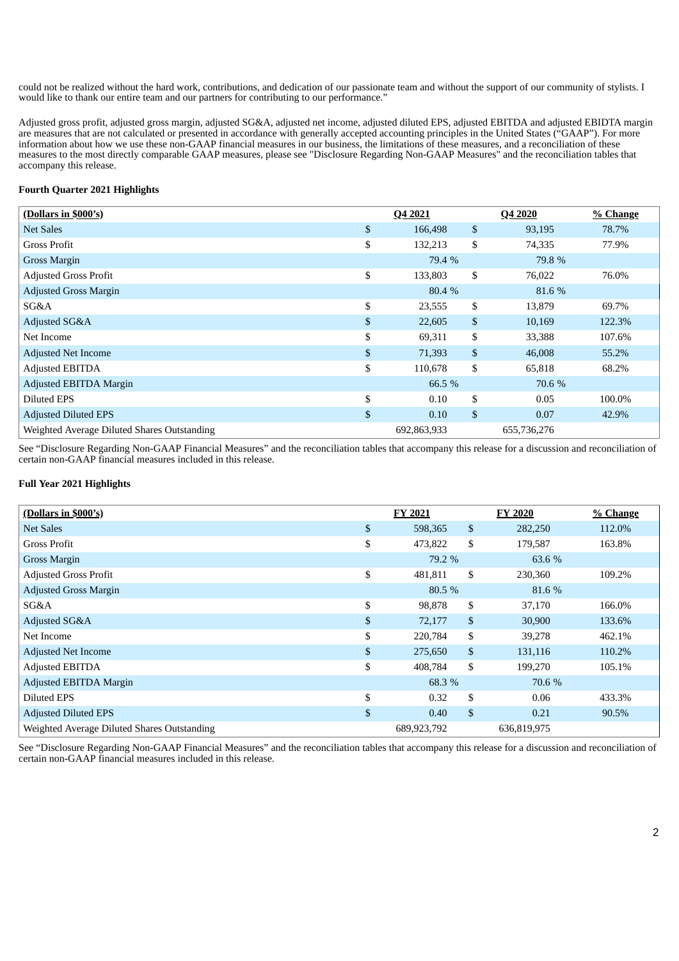could not be realized without the hard work, contributions, and dedication of our passionate team and without the support of our community of stylists. I would like to thank our entire team and our partners for contributing to our performance."

Adjusted gross profit, adjusted gross margin, adjusted SG&A, adjusted net income, adjusted diluted EPS, adjusted EBITDA and adjusted EBIDTA margin are measures that are not calculated or presented in accordance with generally accepted accounting principles in the United States ("GAAP"). For more information about how we use these non-GAAP financial measures in our business, the limitations of these measures, and a reconciliation of these measures to the most directly comparable GAAP measures, please see "Disclosure Regarding Non-GAAP Measures" and the reconciliation tables that accompany this release.

## **Fourth Quarter 2021 Highlights**

| (Dollars in \$000's)                        | Q4 2021 |             | Q4 2020 |             | % Change |
|---------------------------------------------|---------|-------------|---------|-------------|----------|
| <b>Net Sales</b>                            | \$      | 166,498     | \$      | 93,195      | 78.7%    |
| Gross Profit                                | \$      | 132,213     | \$      | 74,335      | 77.9%    |
| Gross Margin                                |         | 79.4 %      |         | 79.8 %      |          |
| <b>Adjusted Gross Profit</b>                | \$      | 133,803     | \$      | 76,022      | 76.0%    |
| <b>Adjusted Gross Margin</b>                |         | 80.4 %      |         | 81.6 %      |          |
| SG&A                                        | \$      | 23,555      | \$      | 13,879      | 69.7%    |
| Adjusted SG&A                               | \$      | 22,605      | \$      | 10,169      | 122.3%   |
| Net Income                                  | \$      | 69,311      | \$      | 33,388      | 107.6%   |
| <b>Adjusted Net Income</b>                  | \$      | 71,393      | \$      | 46,008      | 55.2%    |
| <b>Adjusted EBITDA</b>                      | \$      | 110,678     | \$      | 65,818      | 68.2%    |
| Adjusted EBITDA Margin                      |         | 66.5 %      |         | 70.6 %      |          |
| Diluted EPS                                 | \$      | 0.10        | \$      | 0.05        | 100.0%   |
| <b>Adjusted Diluted EPS</b>                 | \$      | 0.10        | \$      | 0.07        | 42.9%    |
| Weighted Average Diluted Shares Outstanding |         | 692,863,933 |         | 655,736,276 |          |

See "Disclosure Regarding Non-GAAP Financial Measures" and the reconciliation tables that accompany this release for a discussion and reconciliation of certain non-GAAP financial measures included in this release.

#### **Full Year 2021 Highlights**

| (Dollars in \$000's)                        |              | FY 2021     |              | <b>FY 2020</b> | % Change |
|---------------------------------------------|--------------|-------------|--------------|----------------|----------|
| Net Sales                                   | \$           | 598,365     | $\mathbb{S}$ | 282,250        | 112.0%   |
| <b>Gross Profit</b>                         | \$           | 473,822     | \$           | 179,587        | 163.8%   |
| Gross Margin                                |              | 79.2 %      |              | 63.6 %         |          |
| <b>Adjusted Gross Profit</b>                | \$           | 481,811     | \$           | 230,360        | 109.2%   |
| <b>Adjusted Gross Margin</b>                |              | 80.5 %      |              | 81.6 %         |          |
| SG&A                                        | \$           | 98,878      | \$           | 37,170         | 166.0%   |
| Adjusted SG&A                               | $\mathbb{S}$ | 72,177      | $\mathbb{S}$ | 30,900         | 133.6%   |
| Net Income                                  | \$           | 220,784     | \$           | 39,278         | 462.1%   |
| <b>Adjusted Net Income</b>                  | $\mathbb{S}$ | 275,650     | \$           | 131,116        | 110.2%   |
| <b>Adjusted EBITDA</b>                      | \$           | 408,784     | \$           | 199,270        | 105.1%   |
| Adjusted EBITDA Margin                      |              | 68.3 %      |              | 70.6 %         |          |
| Diluted EPS                                 | \$           | 0.32        | \$           | 0.06           | 433.3%   |
| <b>Adjusted Diluted EPS</b>                 | $\mathbb{S}$ | 0.40        | $\mathbb{S}$ | 0.21           | 90.5%    |
| Weighted Average Diluted Shares Outstanding |              | 689,923,792 |              | 636,819,975    |          |

See "Disclosure Regarding Non-GAAP Financial Measures" and the reconciliation tables that accompany this release for a discussion and reconciliation of certain non-GAAP financial measures included in this release.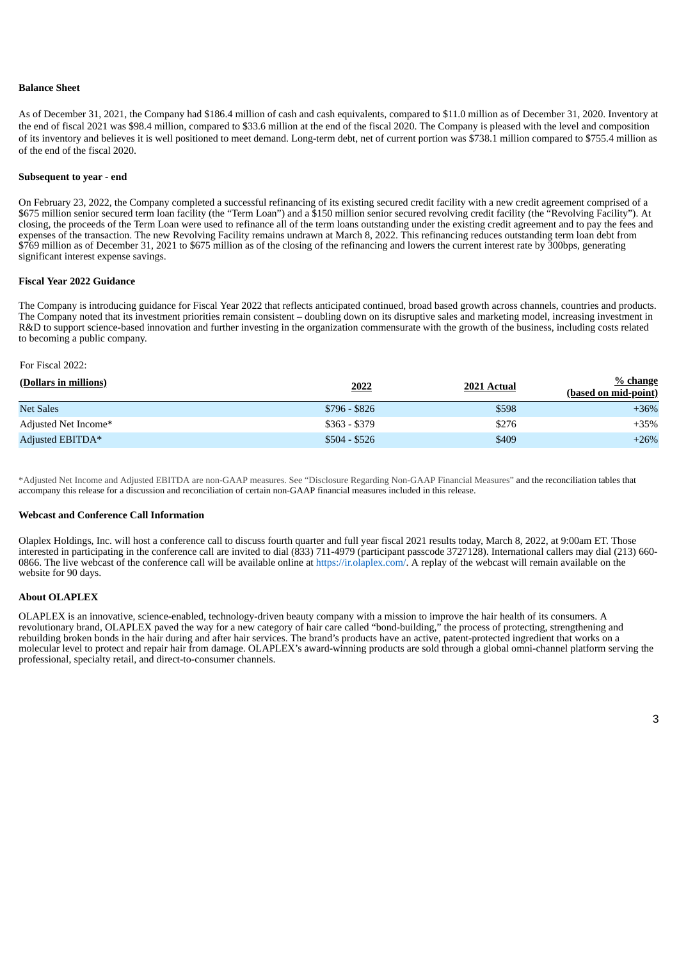#### **Balance Sheet**

As of December 31, 2021, the Company had \$186.4 million of cash and cash equivalents, compared to \$11.0 million as of December 31, 2020. Inventory at the end of fiscal 2021 was \$98.4 million, compared to \$33.6 million at the end of the fiscal 2020. The Company is pleased with the level and composition of its inventory and believes it is well positioned to meet demand. Long-term debt, net of current portion was \$738.1 million compared to \$755.4 million as of the end of the fiscal 2020.

#### **Subsequent to year - end**

On February 23, 2022, the Company completed a successful refinancing of its existing secured credit facility with a new credit agreement comprised of a \$675 million senior secured term loan facility (the "Term Loan") and a \$150 million senior secured revolving credit facility (the "Revolving Facility"). At closing, the proceeds of the Term Loan were used to refinance all of the term loans outstanding under the existing credit agreement and to pay the fees and expenses of the transaction. The new Revolving Facility remains undrawn at March 8, 2022. This refinancing reduces outstanding term loan debt from \$769 million as of December 31, 2021 to \$675 million as of the closing of the refinancing and lowers the current interest rate by 300bps, generating significant interest expense savings.

#### **Fiscal Year 2022 Guidance**

The Company is introducing guidance for Fiscal Year 2022 that reflects anticipated continued, broad based growth across channels, countries and products. The Company noted that its investment priorities remain consistent – doubling down on its disruptive sales and marketing model, increasing investment in R&D to support science-based innovation and further investing in the organization commensurate with the growth of the business, including costs related to becoming a public company.

#### For Fiscal 2022:

| (Dollars in millions) | 2022          | 2021 Actual | $%$ change<br>(based on mid-point) |
|-----------------------|---------------|-------------|------------------------------------|
| <b>Net Sales</b>      | $$796 - $826$ | \$598       | $+36%$                             |
| Adjusted Net Income*  | $$363 - $379$ | \$276       | $+35%$                             |
| Adjusted EBITDA*      | $$504 - $526$ | \$409       | $+26%$                             |

\*Adjusted Net Income and Adjusted EBITDA are non-GAAP measures. See "Disclosure Regarding Non-GAAP Financial Measures" and the reconciliation tables that accompany this release for a discussion and reconciliation of certain non-GAAP financial measures included in this release.

#### **Webcast and Conference Call Information**

Olaplex Holdings, Inc. will host a conference call to discuss fourth quarter and full year fiscal 2021 results today, March 8, 2022, at 9:00am ET. Those interested in participating in the conference call are invited to dial (833) 711-4979 (participant passcode 3727128). International callers may dial (213) 660- 0866. The live webcast of the conference call will be available online at https://ir.olaplex.com/. A replay of the webcast will remain available on the website for 90 days.

#### **About OLAPLEX**

OLAPLEX is an innovative, science-enabled, technology-driven beauty company with a mission to improve the hair health of its consumers. A revolutionary brand, OLAPLEX paved the way for a new category of hair care called "bond-building," the process of protecting, strengthening and rebuilding broken bonds in the hair during and after hair services. The brand's products have an active, patent-protected ingredient that works on a molecular level to protect and repair hair from damage. OLAPLEX's award-winning products are sold through a global omni-channel platform serving the professional, specialty retail, and direct-to-consumer channels.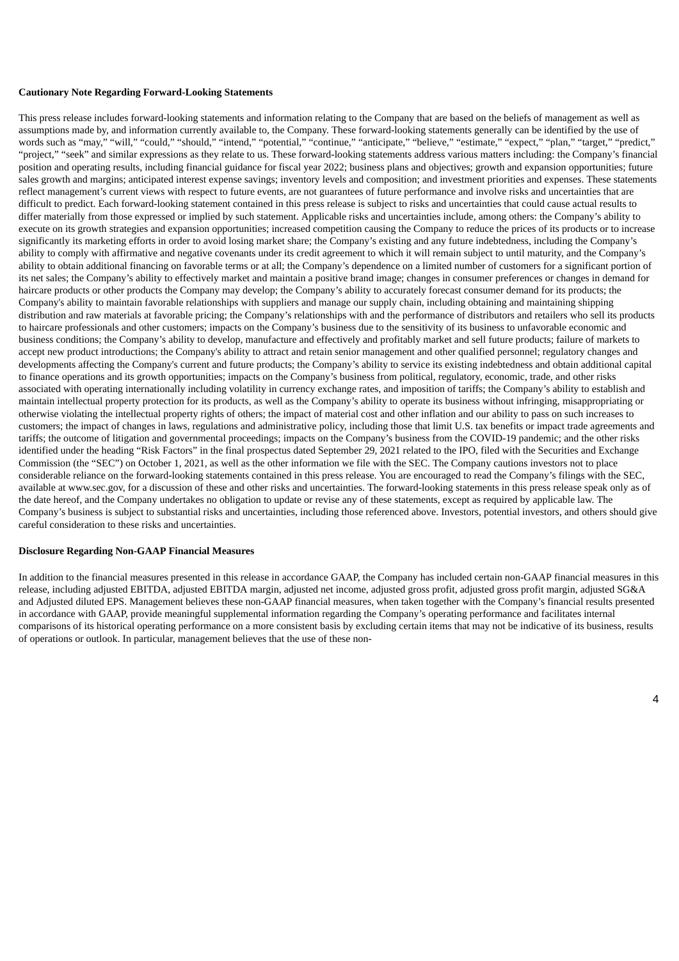#### **Cautionary Note Regarding Forward-Looking Statements**

This press release includes forward-looking statements and information relating to the Company that are based on the beliefs of management as well as assumptions made by, and information currently available to, the Company. These forward-looking statements generally can be identified by the use of words such as "may," "will," "could," "should," "intend," "potential," "continue," "anticipate," "believe," "estimate," "expect," "plan," "target," "predict," "project," "seek" and similar expressions as they relate to us. These forward-looking statements address various matters including: the Company's financial position and operating results, including financial guidance for fiscal year 2022; business plans and objectives; growth and expansion opportunities; future sales growth and margins; anticipated interest expense savings; inventory levels and composition; and investment priorities and expenses. These statements reflect management's current views with respect to future events, are not guarantees of future performance and involve risks and uncertainties that are difficult to predict. Each forward-looking statement contained in this press release is subject to risks and uncertainties that could cause actual results to differ materially from those expressed or implied by such statement. Applicable risks and uncertainties include, among others: the Company's ability to execute on its growth strategies and expansion opportunities; increased competition causing the Company to reduce the prices of its products or to increase significantly its marketing efforts in order to avoid losing market share; the Company's existing and any future indebtedness, including the Company's ability to comply with affirmative and negative covenants under its credit agreement to which it will remain subject to until maturity, and the Company's ability to obtain additional financing on favorable terms or at all; the Company's dependence on a limited number of customers for a significant portion of its net sales; the Company's ability to effectively market and maintain a positive brand image; changes in consumer preferences or changes in demand for haircare products or other products the Company may develop; the Company's ability to accurately forecast consumer demand for its products; the Company's ability to maintain favorable relationships with suppliers and manage our supply chain, including obtaining and maintaining shipping distribution and raw materials at favorable pricing; the Company's relationships with and the performance of distributors and retailers who sell its products to haircare professionals and other customers; impacts on the Company's business due to the sensitivity of its business to unfavorable economic and business conditions; the Company's ability to develop, manufacture and effectively and profitably market and sell future products; failure of markets to accept new product introductions; the Company's ability to attract and retain senior management and other qualified personnel; regulatory changes and developments affecting the Company's current and future products; the Company's ability to service its existing indebtedness and obtain additional capital to finance operations and its growth opportunities; impacts on the Company's business from political, regulatory, economic, trade, and other risks associated with operating internationally including volatility in currency exchange rates, and imposition of tariffs; the Company's ability to establish and maintain intellectual property protection for its products, as well as the Company's ability to operate its business without infringing, misappropriating or otherwise violating the intellectual property rights of others; the impact of material cost and other inflation and our ability to pass on such increases to customers; the impact of changes in laws, regulations and administrative policy, including those that limit U.S. tax benefits or impact trade agreements and tariffs; the outcome of litigation and governmental proceedings; impacts on the Company's business from the COVID-19 pandemic; and the other risks identified under the heading "Risk Factors" in the final prospectus dated September 29, 2021 related to the IPO, filed with the Securities and Exchange Commission (the "SEC") on October 1, 2021, as well as the other information we file with the SEC. The Company cautions investors not to place considerable reliance on the forward-looking statements contained in this press release. You are encouraged to read the Company's filings with the SEC, available at www.sec.gov, for a discussion of these and other risks and uncertainties. The forward-looking statements in this press release speak only as of the date hereof, and the Company undertakes no obligation to update or revise any of these statements, except as required by applicable law. The Company's business is subject to substantial risks and uncertainties, including those referenced above. Investors, potential investors, and others should give careful consideration to these risks and uncertainties.

#### **Disclosure Regarding Non-GAAP Financial Measures**

In addition to the financial measures presented in this release in accordance GAAP, the Company has included certain non-GAAP financial measures in this release, including adjusted EBITDA, adjusted EBITDA margin, adjusted net income, adjusted gross profit, adjusted gross profit margin, adjusted SG&A and Adjusted diluted EPS. Management believes these non-GAAP financial measures, when taken together with the Company's financial results presented in accordance with GAAP, provide meaningful supplemental information regarding the Company's operating performance and facilitates internal comparisons of its historical operating performance on a more consistent basis by excluding certain items that may not be indicative of its business, results of operations or outlook. In particular, management believes that the use of these non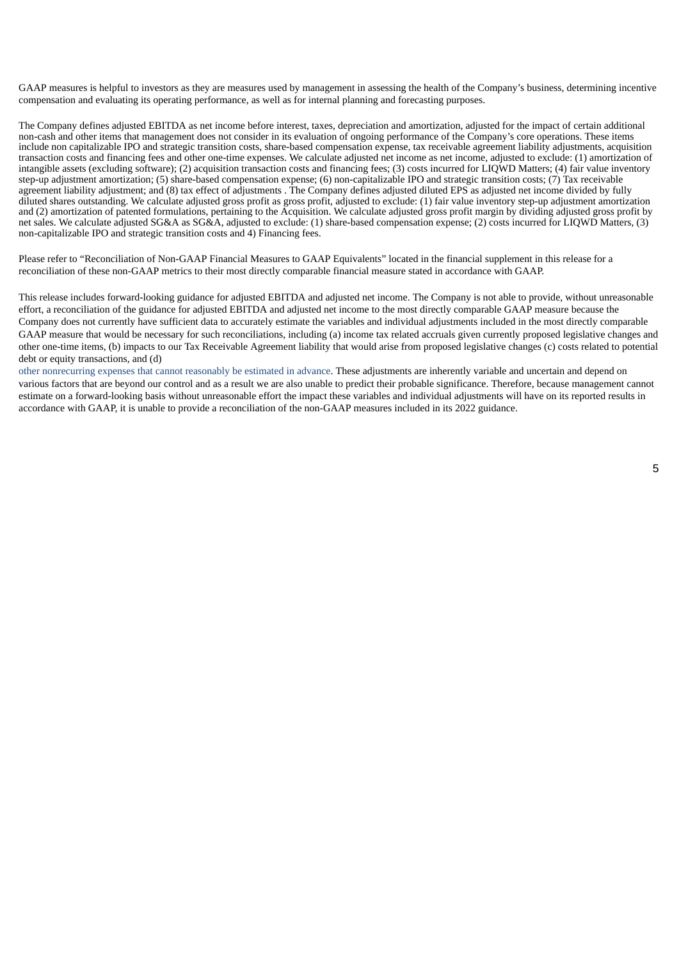GAAP measures is helpful to investors as they are measures used by management in assessing the health of the Company's business, determining incentive compensation and evaluating its operating performance, as well as for internal planning and forecasting purposes.

The Company defines adjusted EBITDA as net income before interest, taxes, depreciation and amortization, adjusted for the impact of certain additional non-cash and other items that management does not consider in its evaluation of ongoing performance of the Company's core operations. These items include non capitalizable IPO and strategic transition costs, share-based compensation expense, tax receivable agreement liability adjustments, acquisition transaction costs and financing fees and other one-time expenses. We calculate adjusted net income as net income, adjusted to exclude: (1) amortization of intangible assets (excluding software); (2) acquisition transaction costs and financing fees; (3) costs incurred for LIQWD Matters; (4) fair value inventory step-up adjustment amortization; (5) share-based compensation expense; (6) non-capitalizable IPO and strategic transition costs; (7) Tax receivable agreement liability adjustment; and (8) tax effect of adjustments . The Company defines adjusted diluted EPS as adjusted net income divided by fully diluted shares outstanding. We calculate adjusted gross profit as gross profit, adjusted to exclude: (1) fair value inventory step-up adjustment amortization and (2) amortization of patented formulations, pertaining to the Acquisition. We calculate adjusted gross profit margin by dividing adjusted gross profit by net sales. We calculate adjusted SG&A as SG&A, adjusted to exclude: (1) share-based compensation expense; (2) costs incurred for LIQWD Matters, (3) non-capitalizable IPO and strategic transition costs and 4) Financing fees.

Please refer to "Reconciliation of Non-GAAP Financial Measures to GAAP Equivalents" located in the financial supplement in this release for a reconciliation of these non-GAAP metrics to their most directly comparable financial measure stated in accordance with GAAP.

This release includes forward-looking guidance for adjusted EBITDA and adjusted net income. The Company is not able to provide, without unreasonable effort, a reconciliation of the guidance for adjusted EBITDA and adjusted net income to the most directly comparable GAAP measure because the Company does not currently have sufficient data to accurately estimate the variables and individual adjustments included in the most directly comparable GAAP measure that would be necessary for such reconciliations, including (a) income tax related accruals given currently proposed legislative changes and other one-time items, (b) impacts to our Tax Receivable Agreement liability that would arise from proposed legislative changes (c) costs related to potential debt or equity transactions, and (d)

other nonrecurring expenses that cannot reasonably be estimated in advance. These adjustments are inherently variable and uncertain and depend on various factors that are beyond our control and as a result we are also unable to predict their probable significance. Therefore, because management cannot estimate on a forward-looking basis without unreasonable effort the impact these variables and individual adjustments will have on its reported results in accordance with GAAP, it is unable to provide a reconciliation of the non-GAAP measures included in its 2022 guidance.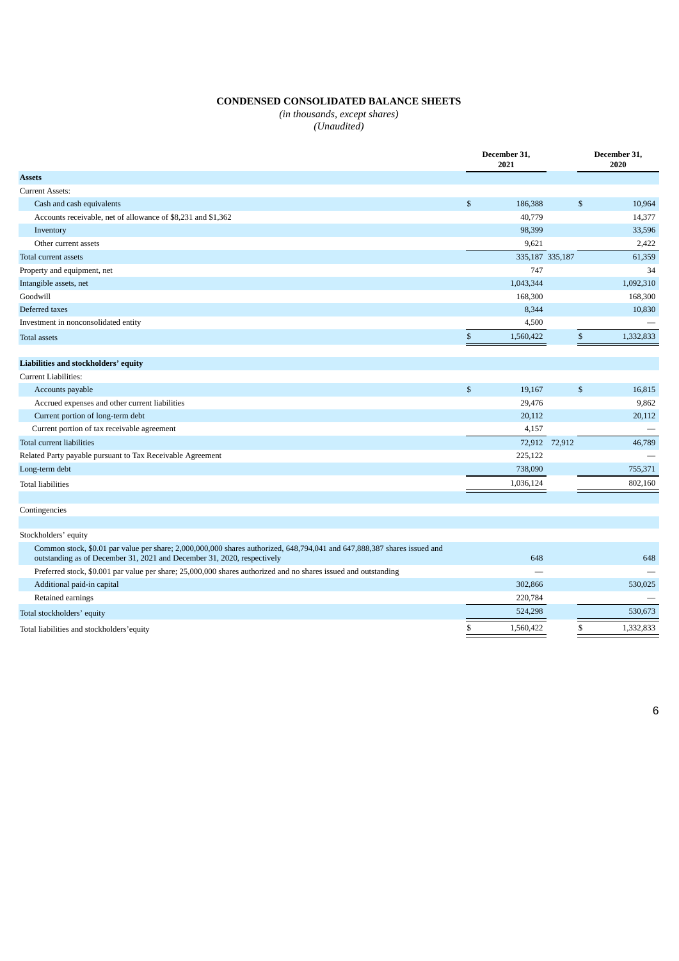# **CONDENSED CONSOLIDATED BALANCE SHEETS**

*(in thousands, except shares) (Unaudited)*

|                                                                                                                                                                                                     | December 31,<br>2021 |                 |               | December 31,<br>2020 |
|-----------------------------------------------------------------------------------------------------------------------------------------------------------------------------------------------------|----------------------|-----------------|---------------|----------------------|
| <b>Assets</b>                                                                                                                                                                                       |                      |                 |               |                      |
| <b>Current Assets:</b>                                                                                                                                                                              |                      |                 |               |                      |
| Cash and cash equivalents                                                                                                                                                                           | $\mathfrak{s}$       | 186,388         | \$            | 10,964               |
| Accounts receivable, net of allowance of \$8,231 and \$1,362                                                                                                                                        |                      | 40,779          |               | 14,377               |
| Inventory                                                                                                                                                                                           |                      | 98,399          |               | 33,596               |
| Other current assets                                                                                                                                                                                |                      | 9,621           |               | 2,422                |
| Total current assets                                                                                                                                                                                |                      | 335,187 335,187 |               | 61,359               |
| Property and equipment, net                                                                                                                                                                         |                      | 747             |               | 34                   |
| Intangible assets, net                                                                                                                                                                              |                      | 1,043,344       |               | 1,092,310            |
| Goodwill                                                                                                                                                                                            |                      | 168,300         |               | 168,300              |
| Deferred taxes                                                                                                                                                                                      |                      | 8,344           |               | 10,830               |
| Investment in nonconsolidated entity                                                                                                                                                                |                      | 4,500           |               |                      |
| <b>Total assets</b>                                                                                                                                                                                 | \$                   | 1,560,422       | \$            | 1,332,833            |
|                                                                                                                                                                                                     |                      |                 |               |                      |
| Liabilities and stockholders' equity                                                                                                                                                                |                      |                 |               |                      |
| <b>Current Liabilities:</b>                                                                                                                                                                         |                      |                 |               |                      |
| Accounts payable                                                                                                                                                                                    | $\mathfrak{s}$       | 19,167          | \$            | 16,815               |
| Accrued expenses and other current liabilities                                                                                                                                                      |                      | 29,476          |               | 9,862                |
| Current portion of long-term debt                                                                                                                                                                   |                      | 20,112          |               | 20,112               |
| Current portion of tax receivable agreement                                                                                                                                                         |                      | 4,157           |               |                      |
| Total current liabilities                                                                                                                                                                           |                      |                 | 72,912 72,912 | 46,789               |
| Related Party payable pursuant to Tax Receivable Agreement                                                                                                                                          |                      | 225,122         |               |                      |
| Long-term debt                                                                                                                                                                                      |                      | 738,090         |               | 755,371              |
| <b>Total liabilities</b>                                                                                                                                                                            |                      | 1,036,124       |               | 802,160              |
| Contingencies                                                                                                                                                                                       |                      |                 |               |                      |
| Stockholders' equity                                                                                                                                                                                |                      |                 |               |                      |
| Common stock, \$0.01 par value per share; 2,000,000,000 shares authorized, 648,794,041 and 647,888,387 shares issued and<br>outstanding as of December 31, 2021 and December 31, 2020, respectively |                      | 648             |               | 648                  |
| Preferred stock, \$0.001 par value per share; 25,000,000 shares authorized and no shares issued and outstanding                                                                                     |                      |                 |               |                      |
| Additional paid-in capital                                                                                                                                                                          |                      | 302,866         |               | 530,025              |
| Retained earnings                                                                                                                                                                                   |                      | 220,784         |               |                      |
| Total stockholders' equity                                                                                                                                                                          |                      | 524,298         |               | 530,673              |
| Total liabilities and stockholders' equity                                                                                                                                                          | \$                   | 1,560,422       | \$            | 1,332,833            |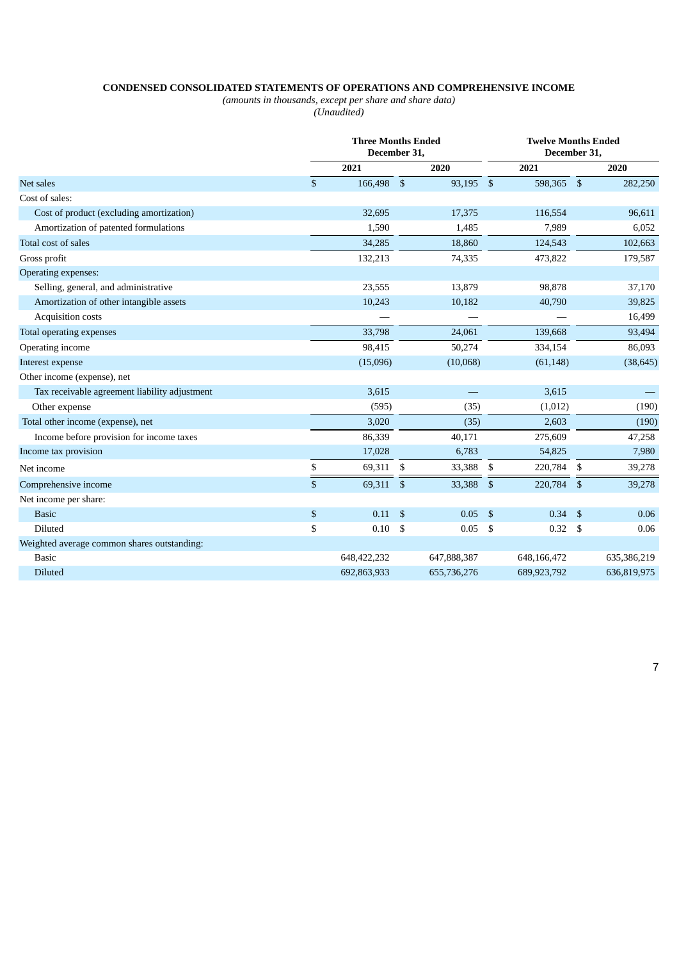# **CONDENSED CONSOLIDATED STATEMENTS OF OPERATIONS AND COMPREHENSIVE INCOME**

*(amounts in thousands, except per share and share data)*

*(Unaudited)*

|                                               |                    | <b>Three Months Ended</b><br>December 31, |     |             |     | <b>Twelve Months Ended</b><br>December 31, |    |             |  |
|-----------------------------------------------|--------------------|-------------------------------------------|-----|-------------|-----|--------------------------------------------|----|-------------|--|
|                                               |                    | 2021                                      |     | 2020        |     | 2021                                       |    | 2020        |  |
| Net sales                                     | $\mathfrak{s}$     | 166,498 \$                                |     | 93,195 \$   |     | 598,365 \$                                 |    | 282,250     |  |
| Cost of sales:                                |                    |                                           |     |             |     |                                            |    |             |  |
| Cost of product (excluding amortization)      |                    | 32,695                                    |     | 17,375      |     | 116,554                                    |    | 96,611      |  |
| Amortization of patented formulations         |                    | 1,590                                     |     | 1,485       |     | 7,989                                      |    | 6,052       |  |
| Total cost of sales                           |                    | 34,285                                    |     | 18,860      |     | 124,543                                    |    | 102,663     |  |
| Gross profit                                  |                    | 132,213                                   |     | 74,335      |     | 473,822                                    |    | 179,587     |  |
| Operating expenses:                           |                    |                                           |     |             |     |                                            |    |             |  |
| Selling, general, and administrative          |                    | 23,555                                    |     | 13,879      |     | 98,878                                     |    | 37,170      |  |
| Amortization of other intangible assets       |                    | 10,243                                    |     | 10,182      |     | 40,790                                     |    | 39,825      |  |
| Acquisition costs                             |                    |                                           |     |             |     |                                            |    | 16,499      |  |
| Total operating expenses                      |                    | 33,798                                    |     | 24,061      |     | 139,668                                    |    | 93,494      |  |
| Operating income                              |                    | 98,415                                    |     | 50,274      |     | 334,154                                    |    | 86,093      |  |
| Interest expense                              |                    | (15,096)                                  |     | (10,068)    |     | (61, 148)                                  |    | (38, 645)   |  |
| Other income (expense), net                   |                    |                                           |     |             |     |                                            |    |             |  |
| Tax receivable agreement liability adjustment |                    | 3,615                                     |     |             |     | 3,615                                      |    |             |  |
| Other expense                                 |                    | (595)                                     |     | (35)        |     | (1,012)                                    |    | (190)       |  |
| Total other income (expense), net             |                    | 3,020                                     |     | (35)        |     | 2,603                                      |    | (190)       |  |
| Income before provision for income taxes      |                    | 86,339                                    |     | 40,171      |     | 275,609                                    |    | 47,258      |  |
| Income tax provision                          |                    | 17,028                                    |     | 6,783       |     | 54,825                                     |    | 7,980       |  |
| Net income                                    | \$                 | 69,311                                    | \$  | 33,388      | \$  | 220,784                                    | \$ | 39,278      |  |
| Comprehensive income                          | $\mathbf{\hat{S}}$ | 69,311 \$                                 |     | 33,388      | \$  | 220,784                                    | \$ | 39,278      |  |
| Net income per share:                         |                    |                                           |     |             |     |                                            |    |             |  |
| <b>Basic</b>                                  | $\$$               | 0.11                                      | \$  | 0.05        | -\$ | 0.34                                       | \$ | 0.06        |  |
| Diluted                                       | \$                 | 0.10                                      | -\$ | 0.05        | \$  | 0.32                                       | \$ | 0.06        |  |
| Weighted average common shares outstanding:   |                    |                                           |     |             |     |                                            |    |             |  |
| <b>Basic</b>                                  |                    | 648,422,232                               |     | 647,888,387 |     | 648,166,472                                |    | 635,386,219 |  |
| <b>Diluted</b>                                |                    | 692,863,933                               |     | 655,736,276 |     | 689,923,792                                |    | 636,819,975 |  |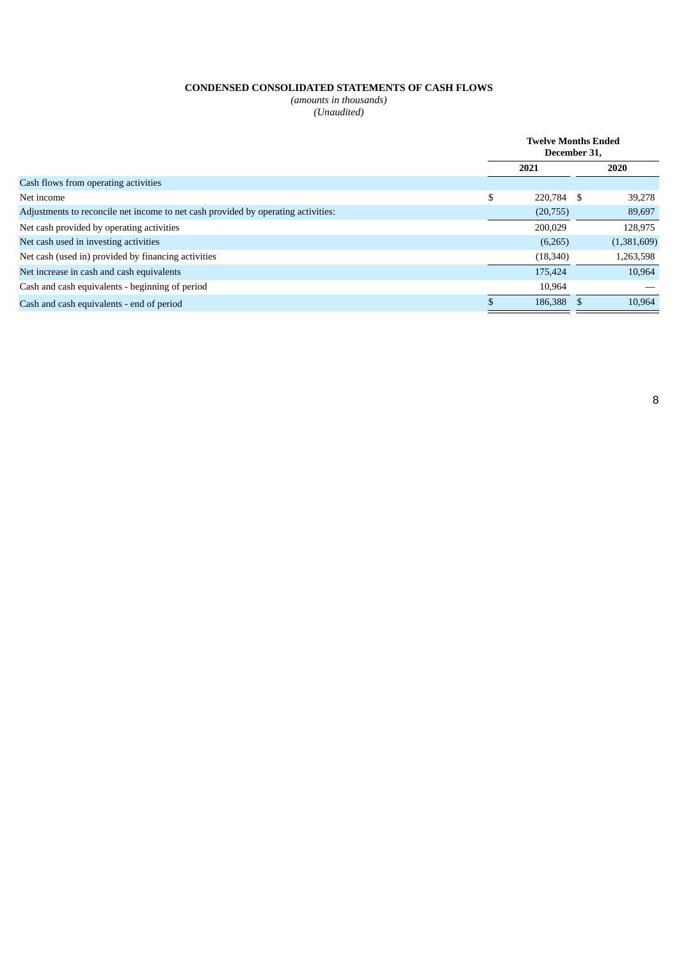# **CONDENSED CONSOLIDATED STATEMENTS OF CASH FLOWS**

*(amounts in thousands) (Unaudited)*

|                                                                                   | <b>Twelve Months Ended</b><br>December 31. |           |      |             |
|-----------------------------------------------------------------------------------|--------------------------------------------|-----------|------|-------------|
|                                                                                   |                                            | 2021      |      | 2020        |
| Cash flows from operating activities                                              |                                            |           |      |             |
| Net income                                                                        | \$                                         | 220,784   | - \$ | 39.278      |
| Adjustments to reconcile net income to net cash provided by operating activities: |                                            | (20,755)  |      | 89,697      |
| Net cash provided by operating activities                                         |                                            | 200,029   |      | 128,975     |
| Net cash used in investing activities                                             |                                            | (6,265)   |      | (1,381,609) |
| Net cash (used in) provided by financing activities                               |                                            | (18, 340) |      | 1,263,598   |
| Net increase in cash and cash equivalents                                         |                                            | 175,424   |      | 10.964      |
| Cash and cash equivalents - beginning of period                                   |                                            | 10,964    |      |             |
| Cash and cash equivalents - end of period                                         |                                            | 186,388   |      | 10,964      |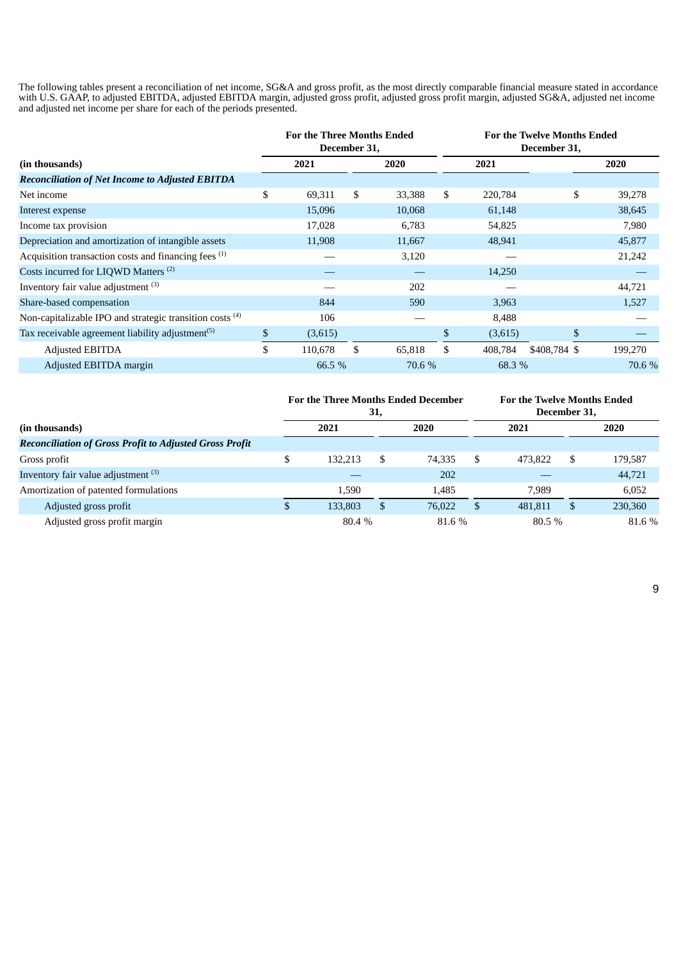The following tables present a reconciliation of net income, SG&A and gross profit, as the most directly comparable financial measure stated in accordance with U.S. GAAP, to adjusted EBITDA, adjusted EBITDA margin, adjusted gross profit, adjusted gross profit margin, adjusted SG&A, adjusted net income and adjusted net income per share for each of the periods presented.

|                                                                     |              | <b>For the Three Months Ended</b><br>December 31, |    |        | <b>For the Twelve Months Ended</b><br>December 31, |         |              |         |  |      |
|---------------------------------------------------------------------|--------------|---------------------------------------------------|----|--------|----------------------------------------------------|---------|--------------|---------|--|------|
| (in thousands)                                                      |              | 2021                                              |    | 2020   | 2021                                               |         |              |         |  | 2020 |
| <b>Reconciliation of Net Income to Adjusted EBITDA</b>              |              |                                                   |    |        |                                                    |         |              |         |  |      |
| Net income                                                          | \$           | 69,311                                            | \$ | 33,388 | \$                                                 | 220,784 | \$           | 39,278  |  |      |
| Interest expense                                                    |              | 15,096                                            |    | 10,068 |                                                    | 61,148  |              | 38,645  |  |      |
| Income tax provision                                                |              | 17,028                                            |    | 6,783  |                                                    | 54,825  |              | 7,980   |  |      |
| Depreciation and amortization of intangible assets                  |              | 11,908                                            |    | 11,667 |                                                    | 48,941  |              | 45,877  |  |      |
| Acquisition transaction costs and financing fees (1)                |              |                                                   |    | 3,120  |                                                    |         |              | 21,242  |  |      |
| Costs incurred for LIQWD Matters <sup>(2)</sup>                     |              |                                                   |    |        |                                                    | 14,250  |              |         |  |      |
| Inventory fair value adjustment (3)                                 |              |                                                   |    | 202    |                                                    |         |              | 44,721  |  |      |
| Share-based compensation                                            |              | 844                                               |    | 590    |                                                    | 3,963   |              | 1,527   |  |      |
| Non-capitalizable IPO and strategic transition costs <sup>(4)</sup> |              | 106                                               |    |        |                                                    | 8,488   |              |         |  |      |
| Tax receivable agreement liability adjustment <sup>(5)</sup>        | $\mathbb{S}$ | (3,615)                                           |    |        | \$                                                 | (3,615) | \$           |         |  |      |
| Adjusted EBITDA                                                     | \$           | 110,678                                           | \$ | 65,818 | \$                                                 | 408,784 | \$408,784 \$ | 199,270 |  |      |
| Adjusted EBITDA margin                                              |              | 66.5 %                                            |    | 70.6 % |                                                    | 68.3 %  |              | 70.6 %  |  |      |

|                                                                | <b>For the Three Months Ended December</b><br>31, |              |    |        |   | <b>For the Twelve Months Ended</b><br>December 31. |    |         |
|----------------------------------------------------------------|---------------------------------------------------|--------------|----|--------|---|----------------------------------------------------|----|---------|
| (in thousands)                                                 |                                                   | 2020<br>2021 |    |        |   | 2021                                               |    | 2020    |
| <b>Reconciliation of Gross Profit to Adjusted Gross Profit</b> |                                                   |              |    |        |   |                                                    |    |         |
| Gross profit                                                   | S                                                 | 132.213      | \$ | 74.335 | S | 473.822                                            | -S | 179,587 |
| Inventory fair value adjustment (3)                            |                                                   |              |    | 202    |   |                                                    |    | 44,721  |
| Amortization of patented formulations                          |                                                   | 1.590        |    | 1,485  |   | 7.989                                              |    | 6,052   |
| Adjusted gross profit                                          |                                                   | 133.803      | S  | 76,022 |   | 481.811                                            | S  | 230,360 |
| Adjusted gross profit margin                                   |                                                   | 80.4 %       |    | 81.6 % |   | 80.5%                                              |    | 81.6 %  |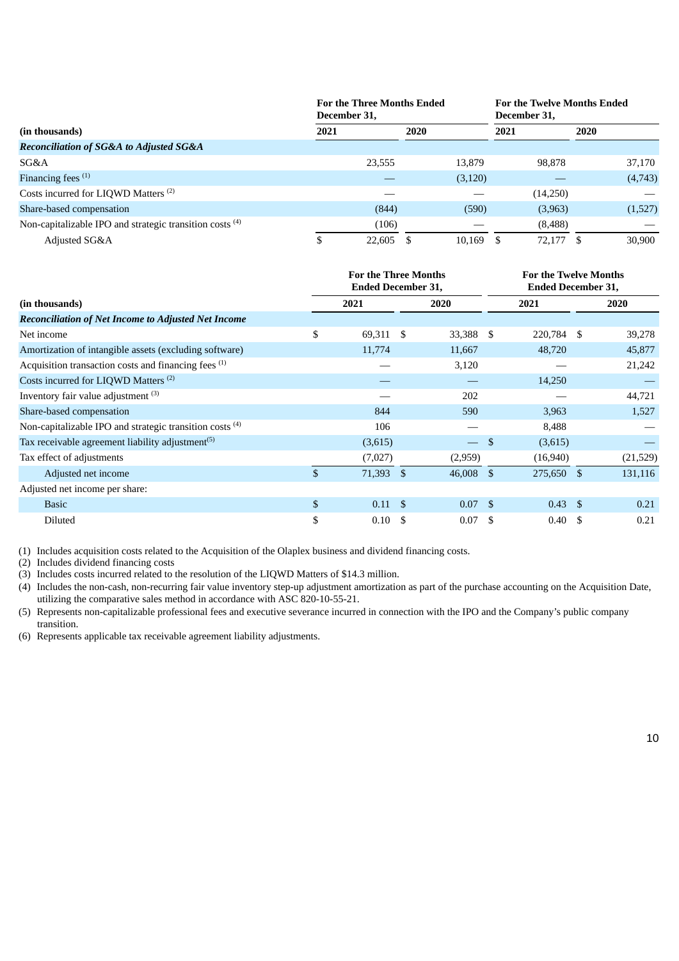|                                                                     | <b>For the Three Months Ended</b><br>December 31, |          | <b>For the Twelve Months Ended</b><br>December 31, |         |  |  |
|---------------------------------------------------------------------|---------------------------------------------------|----------|----------------------------------------------------|---------|--|--|
| (in thousands)                                                      | 2021                                              | 2020     | 2021                                               | 2020    |  |  |
| <b>Reconciliation of SG&amp;A to Adjusted SG&amp;A</b>              |                                                   |          |                                                    |         |  |  |
| SG&A                                                                | 23,555                                            | 13.879   | 98,878                                             | 37,170  |  |  |
| Financing fees $(1)$                                                |                                                   | (3, 120) |                                                    | (4,743) |  |  |
| Costs incurred for LIQWD Matters <sup>(2)</sup>                     |                                                   |          | (14,250)                                           |         |  |  |
| Share-based compensation                                            | (844)                                             | (590)    | (3,963)                                            | (1,527) |  |  |
| Non-capitalizable IPO and strategic transition costs <sup>(4)</sup> | (106)                                             |          | (8, 488)                                           |         |  |  |
| Adjusted SG&A                                                       | 22,605                                            | 10.169   | 72,177                                             | 30,900  |  |  |

|                                                                     |               | <b>For the Three Months</b><br><b>Ended December 31,</b> |      |                          | <b>For the Twelve Months</b><br><b>Ended December 31,</b> |                 |      |          |
|---------------------------------------------------------------------|---------------|----------------------------------------------------------|------|--------------------------|-----------------------------------------------------------|-----------------|------|----------|
| (in thousands)                                                      |               | 2021                                                     |      | 2020                     |                                                           | 2021            |      | 2020     |
| <b>Reconciliation of Net Income to Adjusted Net Income</b>          |               |                                                          |      |                          |                                                           |                 |      |          |
| Net income                                                          | \$            | 69,311 \$                                                |      | 33,388                   | -S                                                        | 220,784         | - \$ | 39,278   |
| Amortization of intangible assets (excluding software)              |               | 11,774                                                   |      | 11,667                   |                                                           | 48,720          |      | 45,877   |
| Acquisition transaction costs and financing fees (1)                |               |                                                          |      | 3,120                    |                                                           |                 |      | 21,242   |
| Costs incurred for LIQWD Matters <sup>(2)</sup>                     |               |                                                          |      |                          |                                                           | 14,250          |      |          |
| Inventory fair value adjustment (3)                                 |               |                                                          |      | 202                      |                                                           |                 |      | 44,721   |
| Share-based compensation                                            |               | 844                                                      |      | 590                      |                                                           | 3,963           |      | 1,527    |
| Non-capitalizable IPO and strategic transition costs <sup>(4)</sup> |               | 106                                                      |      |                          |                                                           | 8,488           |      |          |
| Tax receivable agreement liability adjustment <sup>(5)</sup>        |               | (3,615)                                                  |      | $\overline{\phantom{0}}$ | \$                                                        | (3,615)         |      |          |
| Tax effect of adjustments                                           |               | (7,027)                                                  |      | (2,959)                  |                                                           | (16, 940)       |      | (21,529) |
| Adjusted net income                                                 | $\mathcal{S}$ | 71,393 \$                                                |      | 46,008                   | -\$                                                       | 275,650 \$      |      | 131,116  |
| Adjusted net income per share:                                      |               |                                                          |      |                          |                                                           |                 |      |          |
| <b>Basic</b>                                                        | \$            | $0.11 \quad$ \$                                          |      | $0.07 \quad$ \$          |                                                           | $0.43 \quad$ \$ |      | 0.21     |
| Diluted                                                             | \$            | 0.10                                                     | - \$ | 0.07                     | S                                                         | 0.40            | -S   | 0.21     |

(1) Includes acquisition costs related to the Acquisition of the Olaplex business and dividend financing costs.

(2) Includes dividend financing costs

(3) Includes costs incurred related to the resolution of the LIQWD Matters of \$14.3 million.

(4) Includes the non-cash, non-recurring fair value inventory step-up adjustment amortization as part of the purchase accounting on the Acquisition Date, utilizing the comparative sales method in accordance with ASC 820-10-55-21.

(5) Represents non-capitalizable professional fees and executive severance incurred in connection with the IPO and the Company's public company transition.

(6) Represents applicable tax receivable agreement liability adjustments.